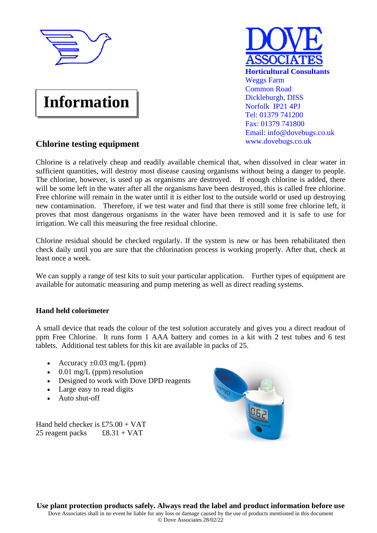

# **Information**



## **Chlorine testing equipment**

Chlorine is a relatively cheap and readily available chemical that, when dissolved in clear water in sufficient quantities, will destroy most disease causing organisms without being a danger to people. The chlorine, however, is used up as organisms are destroyed. If enough chlorine is added, there will be some left in the water after all the organisms have been destroyed, this is called free chlorine. Free chlorine will remain in the water until it is either lost to the outside world or used up destroying new contamination. Therefore, if we test water and find that there is still some free chlorine left, it proves that most dangerous organisms in the water have been removed and it is safe to use for irrigation. We call this measuring the free residual chlorine.

Chlorine residual should be checked regularly. If the system is new or has been rehabilitated then check daily until you are sure that the chlorination process is working properly. After that, check at least once a week.

We can supply a range of test kits to suit your particular application. Further types of equipment are available for automatic measuring and pump metering as well as direct reading systems.

### **Hand held colorimeter**

A small device that reads the colour of the test solution accurately and gives you a direct readout of ppm Free Chlorine. It runs form 1 AAA battery and comes in a kit with 2 test tubes and 6 test tablets. Additional test tablets for this kit are available in packs of 25.

- Accuracy  $\pm 0.03$  mg/L (ppm)
- $\bullet$  0.01 mg/L (ppm) resolution
- Designed to work with Dove DPD reagents
- Large easy to read digits
- Auto shut-off

Hand held checker is £75.00 + VAT 25 reagent packs  $£8.31 + VAT$